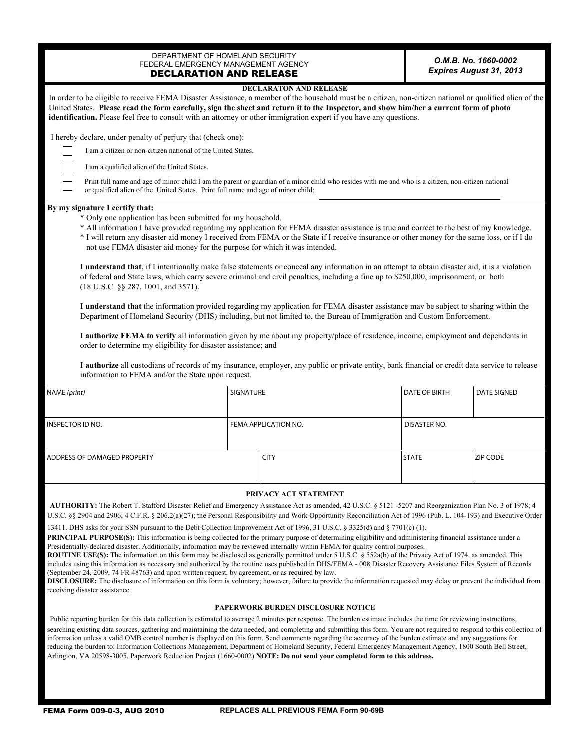| DEPARTMENT OF HOMELAND SECURITY<br>O.M.B. No. 1660-0002<br>FEDERAL EMERGENCY MANAGEMENT AGENCY<br><b>Expires August 31, 2013</b><br><b>DECLARATION AND RELEASE</b><br><b>DECLARATON AND RELEASE</b><br>In order to be eligible to receive FEMA Disaster Assistance, a member of the household must be a citizen, non-citizen national or qualified alien of the<br>United States. Please read the form carefully, sign the sheet and return it to the Inspector, and show him/her a current form of photo<br><b>identification.</b> Please feel free to consult with an attorney or other immigration expert if you have any questions.<br>I hereby declare, under penalty of perjury that (check one):<br>I am a citizen or non-citizen national of the United States.<br>I am a qualified alien of the United States.                                                                                                                                                                                                                                                                                                                                                                                                                                                                                                                                                                                                                                                                                                                                                |
|------------------------------------------------------------------------------------------------------------------------------------------------------------------------------------------------------------------------------------------------------------------------------------------------------------------------------------------------------------------------------------------------------------------------------------------------------------------------------------------------------------------------------------------------------------------------------------------------------------------------------------------------------------------------------------------------------------------------------------------------------------------------------------------------------------------------------------------------------------------------------------------------------------------------------------------------------------------------------------------------------------------------------------------------------------------------------------------------------------------------------------------------------------------------------------------------------------------------------------------------------------------------------------------------------------------------------------------------------------------------------------------------------------------------------------------------------------------------------------------------------------------------------------------------------------------------|
|                                                                                                                                                                                                                                                                                                                                                                                                                                                                                                                                                                                                                                                                                                                                                                                                                                                                                                                                                                                                                                                                                                                                                                                                                                                                                                                                                                                                                                                                                                                                                                        |
|                                                                                                                                                                                                                                                                                                                                                                                                                                                                                                                                                                                                                                                                                                                                                                                                                                                                                                                                                                                                                                                                                                                                                                                                                                                                                                                                                                                                                                                                                                                                                                        |
|                                                                                                                                                                                                                                                                                                                                                                                                                                                                                                                                                                                                                                                                                                                                                                                                                                                                                                                                                                                                                                                                                                                                                                                                                                                                                                                                                                                                                                                                                                                                                                        |
|                                                                                                                                                                                                                                                                                                                                                                                                                                                                                                                                                                                                                                                                                                                                                                                                                                                                                                                                                                                                                                                                                                                                                                                                                                                                                                                                                                                                                                                                                                                                                                        |
|                                                                                                                                                                                                                                                                                                                                                                                                                                                                                                                                                                                                                                                                                                                                                                                                                                                                                                                                                                                                                                                                                                                                                                                                                                                                                                                                                                                                                                                                                                                                                                        |
| Print full name and age of minor child: I am the parent or guardian of a minor child who resides with me and who is a citizen, non-citizen national<br>or qualified alien of the United States. Print full name and age of minor child:                                                                                                                                                                                                                                                                                                                                                                                                                                                                                                                                                                                                                                                                                                                                                                                                                                                                                                                                                                                                                                                                                                                                                                                                                                                                                                                                |
| By my signature I certify that:<br>* Only one application has been submitted for my household.<br>* All information I have provided regarding my application for FEMA disaster assistance is true and correct to the best of my knowledge.<br>* I will return any disaster aid money I received from FEMA or the State if I receive insurance or other money for the same loss, or if I do<br>not use FEMA disaster aid money for the purpose for which it was intended.<br>I understand that, if I intentionally make false statements or conceal any information in an attempt to obtain disaster aid, it is a violation<br>of federal and State laws, which carry severe criminal and civil penalties, including a fine up to \$250,000, imprisonment, or both<br>(18 U.S.C. §§ 287, 1001, and 3571).<br>I understand that the information provided regarding my application for FEMA disaster assistance may be subject to sharing within the<br>Department of Homeland Security (DHS) including, but not limited to, the Bureau of Immigration and Custom Enforcement.<br>I authorize FEMA to verify all information given by me about my property/place of residence, income, employment and dependents in<br>order to determine my eligibility for disaster assistance; and<br>I authorize all custodians of records of my insurance, employer, any public or private entity, bank financial or credit data service to release<br>information to FEMA and/or the State upon request.<br>SIGNATURE<br><b>DATE OF BIRTH</b><br><b>DATE SIGNED</b><br>NAME (print) |
|                                                                                                                                                                                                                                                                                                                                                                                                                                                                                                                                                                                                                                                                                                                                                                                                                                                                                                                                                                                                                                                                                                                                                                                                                                                                                                                                                                                                                                                                                                                                                                        |
| INSPECTOR ID NO.<br>FEMA APPLICATION NO.<br>DISASTER NO.                                                                                                                                                                                                                                                                                                                                                                                                                                                                                                                                                                                                                                                                                                                                                                                                                                                                                                                                                                                                                                                                                                                                                                                                                                                                                                                                                                                                                                                                                                               |
| ADDRESS OF DAMAGED PROPERTY<br>ZIP CODE<br><b>CITY</b><br><b>STATE</b>                                                                                                                                                                                                                                                                                                                                                                                                                                                                                                                                                                                                                                                                                                                                                                                                                                                                                                                                                                                                                                                                                                                                                                                                                                                                                                                                                                                                                                                                                                 |
| PRIVACY ACT STATEMENT                                                                                                                                                                                                                                                                                                                                                                                                                                                                                                                                                                                                                                                                                                                                                                                                                                                                                                                                                                                                                                                                                                                                                                                                                                                                                                                                                                                                                                                                                                                                                  |
| AUTHORITY: The Robert T. Stafford Disaster Relief and Emergency Assistance Act as amended, 42 U.S.C. § 5121 -5207 and Reorganization Plan No. 3 of 1978; 4<br>U.S.C. §§ 2904 and 2906; 4 C.F.R. § 206.2(a)(27); the Personal Responsibility and Work Opportunity Reconciliation Act of 1996 (Pub. L. 104-193) and Executive Order<br>13411. DHS asks for your SSN pursuant to the Debt Collection Improvement Act of 1996, 31 U.S.C. § 3325(d) and § 7701(c) (1).<br>PRINCIPAL PURPOSE(S): This information is being collected for the primary purpose of determining eligibility and administering financial assistance under a<br>Presidentially-declared disaster. Additionally, information may be reviewed internally within FEMA for quality control purposes.<br><b>ROUTINE USE(S):</b> The information on this form may be disclosed as generally permitted under 5 U.S.C. § 552a(b) of the Privacy Act of 1974, as amended. This<br>includes using this information as necessary and authorized by the routine uses published in DHS/FEMA - 008 Disaster Recovery Assistance Files System of Records<br>(September 24, 2009, 74 FR 48763) and upon written request, by agreement, or as required by law.<br><b>DISCLOSURE:</b> The disclosure of information on this form is voluntary; however, failure to provide the information requested may delay or prevent the individual from<br>receiving disaster assistance.                                                                                                                                      |

searching existing data sources, gathering and maintaining the data needed, and completing and submitting this form. You are not required to respond to this collection of information unless a valid OMB control number is displayed on this form. Send comments regarding the accuracy of the burden estimate and any suggestions for reducing the burden to: Information Collections Management, Department of Homeland Security, Federal Emergency Management Agency, 1800 South Bell Street, Arlington, VA 20598-3005, Paperwork Reduction Project (1660-0002) **NOTE: Do not send your completed form to this address.**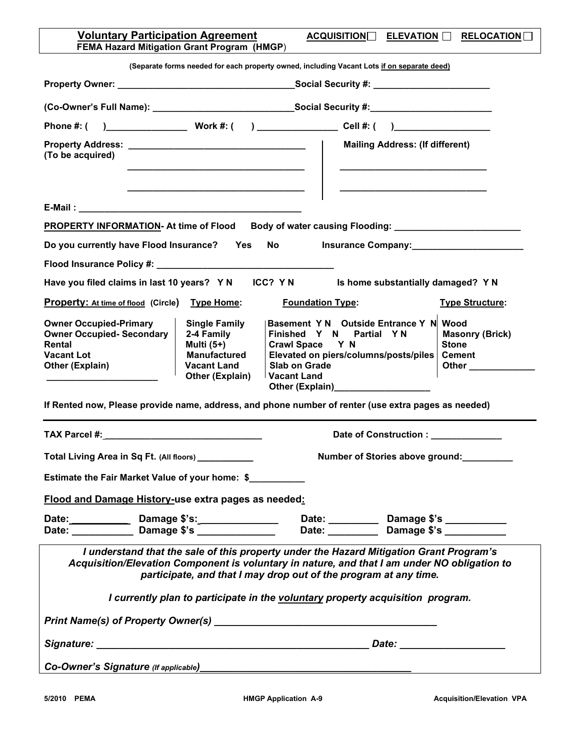| <b>Voluntary Participation Agreement</b><br>FEMA Hazard Mitigation Grant Program (HMGP)                                                                                                                                                | $ACQUISITION$ ELEVATION $\Box$ RELOCATION $\Box$                                                                                                                                                                                                                                                                                              |
|----------------------------------------------------------------------------------------------------------------------------------------------------------------------------------------------------------------------------------------|-----------------------------------------------------------------------------------------------------------------------------------------------------------------------------------------------------------------------------------------------------------------------------------------------------------------------------------------------|
|                                                                                                                                                                                                                                        | (Separate forms needed for each property owned, including Vacant Lots if on separate deed)                                                                                                                                                                                                                                                    |
| Property Owner: ___________________________________Social Security #: _____________________________                                                                                                                                    |                                                                                                                                                                                                                                                                                                                                               |
|                                                                                                                                                                                                                                        | (Co-Owner's Full Name): ________________________________Social Security #: ________________________                                                                                                                                                                                                                                           |
|                                                                                                                                                                                                                                        |                                                                                                                                                                                                                                                                                                                                               |
| (To be acquired)                                                                                                                                                                                                                       | <b>Mailing Address: (If different)</b>                                                                                                                                                                                                                                                                                                        |
|                                                                                                                                                                                                                                        |                                                                                                                                                                                                                                                                                                                                               |
| <b>PROPERTY INFORMATION- At time of Flood</b>                                                                                                                                                                                          |                                                                                                                                                                                                                                                                                                                                               |
| Do you currently have Flood Insurance? Yes                                                                                                                                                                                             | <b>Note</b><br>Insurance Company:<br><u> Letter Company:</u>                                                                                                                                                                                                                                                                                  |
|                                                                                                                                                                                                                                        |                                                                                                                                                                                                                                                                                                                                               |
|                                                                                                                                                                                                                                        | Have you filed claims in last 10 years? YN ICC? YN Is home substantially damaged? YN                                                                                                                                                                                                                                                          |
| <b>Property: At time of flood (Circle)</b> Type Home:                                                                                                                                                                                  | <b>Foundation Type:</b><br><b>Type Structure:</b>                                                                                                                                                                                                                                                                                             |
| <b>Owner Occupied-Primary</b><br><b>Single Family</b><br><b>Owner Occupied-Secondary</b><br>2-4 Family<br>Rental<br>Multi (5+)<br><b>Manufactured</b><br><b>Vacant Lot</b><br><b>Vacant Land</b><br>Other (Explain)<br>Other (Explain) | Basement Y N Outside Entrance Y N Wood<br><b>Masonry (Brick)</b><br>Finished Y N<br>Partial YN<br><b>Stone</b><br>Crawl Space Y N<br>Elevated on piers/columns/posts/piles Cement<br><b>Slab on Grade</b><br><b>Vacant Land</b>                                                                                                               |
| If Rented now, Please provide name, address, and phone number of renter (use extra pages as needed)                                                                                                                                    |                                                                                                                                                                                                                                                                                                                                               |
|                                                                                                                                                                                                                                        |                                                                                                                                                                                                                                                                                                                                               |
| Total Living Area in Sq Ft. (All floors) ________                                                                                                                                                                                      | Number of Stories above ground:                                                                                                                                                                                                                                                                                                               |
| Estimate the Fair Market Value of your home: \$                                                                                                                                                                                        |                                                                                                                                                                                                                                                                                                                                               |
| Flood and Damage History-use extra pages as needed:                                                                                                                                                                                    |                                                                                                                                                                                                                                                                                                                                               |
|                                                                                                                                                                                                                                        |                                                                                                                                                                                                                                                                                                                                               |
|                                                                                                                                                                                                                                        | I understand that the sale of this property under the Hazard Mitigation Grant Program's<br>Acquisition/Elevation Component is voluntary in nature, and that I am under NO obligation to<br>participate, and that I may drop out of the program at any time.<br>I currently plan to participate in the voluntary property acquisition program. |
|                                                                                                                                                                                                                                        |                                                                                                                                                                                                                                                                                                                                               |
|                                                                                                                                                                                                                                        |                                                                                                                                                                                                                                                                                                                                               |
| Co-Owner's Signature (If applicable)<br><u> Co-Owner's Signature (If applicable)</u>                                                                                                                                                   |                                                                                                                                                                                                                                                                                                                                               |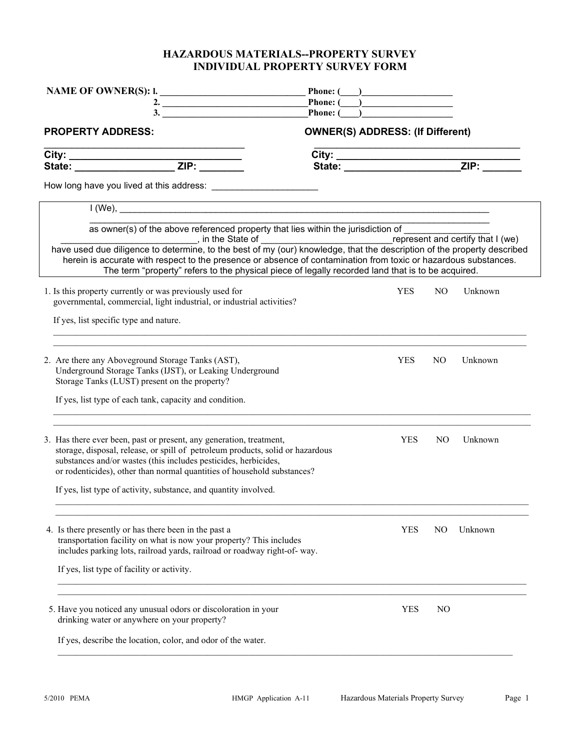## **HAZARDOUS MATERIALS--PROPERTY SURVEY INDIVIDUAL PROPERTY SURVEY FORM**

|                                                                                                                                                                                                                                                                                                                                                                                          | Phone: $(\_\_)$<br>Phone: $\qquad \qquad$ |            |                |         |
|------------------------------------------------------------------------------------------------------------------------------------------------------------------------------------------------------------------------------------------------------------------------------------------------------------------------------------------------------------------------------------------|-------------------------------------------|------------|----------------|---------|
| 2. $\overline{\phantom{a}}$                                                                                                                                                                                                                                                                                                                                                              | Phone: ( )                                |            |                |         |
| <b>PROPERTY ADDRESS:</b>                                                                                                                                                                                                                                                                                                                                                                 | <b>OWNER(S) ADDRESS: (If Different)</b>   |            |                |         |
|                                                                                                                                                                                                                                                                                                                                                                                          |                                           |            |                |         |
|                                                                                                                                                                                                                                                                                                                                                                                          |                                           |            |                |         |
| How long have you lived at this address: _________________________<br><u> 1989 - Jan Salaman Salaman (j. 1989)</u>                                                                                                                                                                                                                                                                       |                                           |            |                |         |
| $1$ (We), $\qquad \qquad$                                                                                                                                                                                                                                                                                                                                                                |                                           |            |                |         |
| as owner(s) of the above referenced property that lies within the jurisdiction of<br>Fepresent and certify that I (we) nave used due diligence to determine, to the best of my (our) knowledge, that the description of the property described                                                                                                                                           |                                           |            |                |         |
| herein is accurate with respect to the presence or absence of contamination from toxic or hazardous substances.<br>The term "property" refers to the physical piece of legally recorded land that is to be acquired.                                                                                                                                                                     |                                           |            |                |         |
| 1. Is this property currently or was previously used for<br>governmental, commercial, light industrial, or industrial activities?                                                                                                                                                                                                                                                        |                                           | <b>YES</b> | N <sub>O</sub> | Unknown |
| If yes, list specific type and nature.<br>,我们也不能在这里的人,我们也不能在这里的人,我们也不能不能不能不能不能不能不能不能不能不能不能。""我们的人,我们也不能不能不能不能不能不能不能不能不能不能不                                                                                                                                                                                                                                                               |                                           |            |                |         |
| 2. Are there any Aboveground Storage Tanks (AST),<br>Underground Storage Tanks (IJST), or Leaking Underground<br>Storage Tanks (LUST) present on the property?<br>If yes, list type of each tank, capacity and condition.                                                                                                                                                                |                                           | <b>YES</b> | NO.            | Unknown |
| ,我们也不能在这里的人,我们也不能在这里的人,我们也不能在这里的人,我们也不能在这里的人,我们也不能在这里的人,我们也不能在这里的人,我们也不能在这里的人,我们也<br>3. Has there ever been, past or present, any generation, treatment,<br>storage, disposal, release, or spill of petroleum products, solid or hazardous<br>substances and/or wastes (this includes pesticides, herbicides,<br>or rodenticides), other than normal quantities of household substances? |                                           | <b>YES</b> | NO.            | Unknown |
| If yes, list type of activity, substance, and quantity involved.                                                                                                                                                                                                                                                                                                                         |                                           |            |                |         |
| 4. Is there presently or has there been in the past a<br>transportation facility on what is now your property? This includes<br>includes parking lots, railroad yards, railroad or roadway right-of-way.                                                                                                                                                                                 |                                           | <b>YES</b> | N <sub>O</sub> | Unknown |
| If yes, list type of facility or activity.                                                                                                                                                                                                                                                                                                                                               |                                           |            |                |         |
| 5. Have you noticed any unusual odors or discoloration in your<br>drinking water or anywhere on your property?                                                                                                                                                                                                                                                                           |                                           | <b>YES</b> | N <sub>O</sub> |         |
| If yes, describe the location, color, and odor of the water.                                                                                                                                                                                                                                                                                                                             |                                           |            |                |         |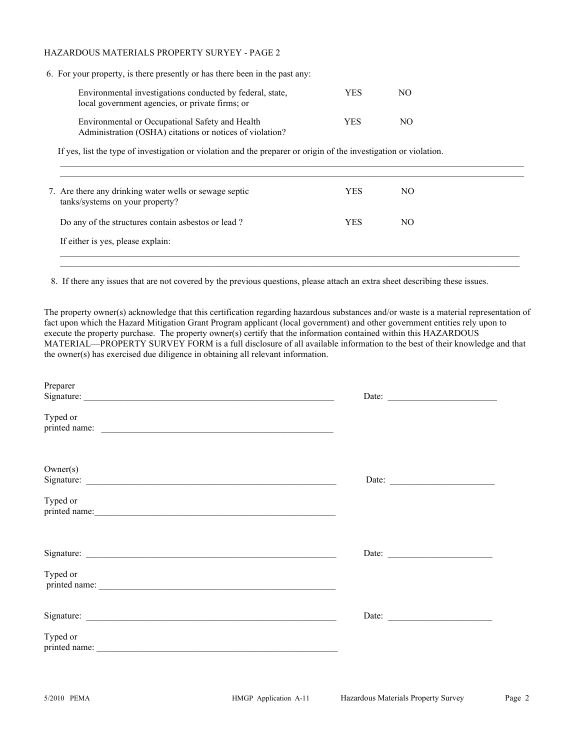## HAZARDOUS MATERIALS PROPERTY SURYEY - PAGE 2

6. For your property, is there presently or has there been in the past any:

| Environmental investigations conducted by federal, state,<br>local government agencies, or private firms; or | YES  | NO. |
|--------------------------------------------------------------------------------------------------------------|------|-----|
| Environmental or Occupational Safety and Health<br>Administration (OSHA) citations or notices of violation?  | YES. | NΟ  |

If yes, list the type of investigation or violation and the preparer or origin of the investigation or violation.

| Do any of the structures contain asbestos or lead? | <b>YES</b> | NO. |  |
|----------------------------------------------------|------------|-----|--|
| If either is yes, please explain:                  |            |     |  |

8. If there any issues that are not covered by the previous questions, please attach an extra sheet describing these issues.

The property owner(s) acknowledge that this certification regarding hazardous substances and/or waste is a material representation of fact upon which the Hazard Mitigation Grant Program applicant (local government) and other government entities rely upon to execute the property purchase. The property owner(s) certify that the information contained within this HAZARDOUS MATERIAL—PROPERTY SURVEY FORM is a full disclosure of all available information to the best of their knowledge and that the owner(s) has exercised due diligence in obtaining all relevant information.

| Preparer | Date: $\qquad \qquad$ |
|----------|-----------------------|
| Typed or |                       |
| Owner(s) |                       |
| Typed or |                       |
|          |                       |
| Typed or |                       |
|          |                       |
| Typed or |                       |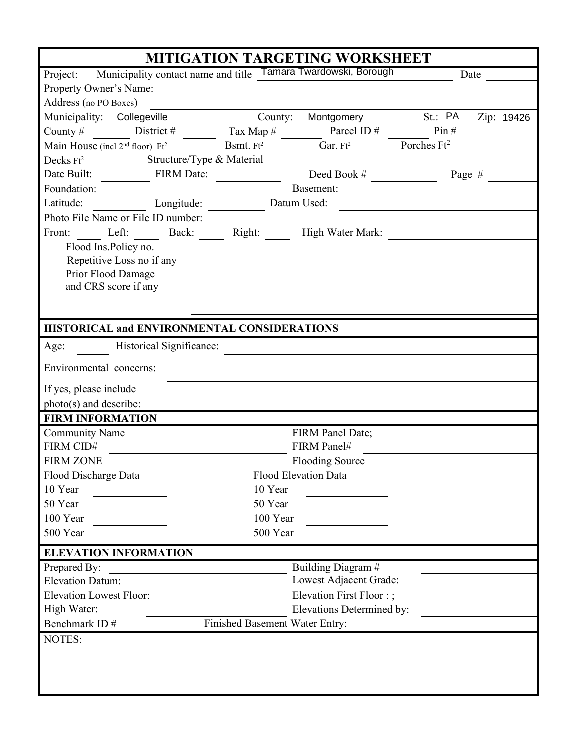| <b>MITIGATION TARGETING WORKSHEET</b>                                   |                                               |                       |  |  |  |
|-------------------------------------------------------------------------|-----------------------------------------------|-----------------------|--|--|--|
| Project: Municipality contact name and title Tamara Twardowski, Borough |                                               | Date                  |  |  |  |
| Property Owner's Name:                                                  | <u> 1980 - Andrea Andrew Maria (h. 1980).</u> |                       |  |  |  |
| Address (no PO Boxes)                                                   |                                               |                       |  |  |  |
| Municipality: Collegeville                                              | County:<br>Montgomery                         | St.: PA<br>Zip: 19426 |  |  |  |
| District #<br>County $#$                                                | Parcel ID#<br>Tax Map #                       | Pin#                  |  |  |  |
| Main House (incl 2 <sup>nd</sup> floor) Ft <sup>2</sup>                 | Bsmt. $Ft^2$<br>Gar. $Ft^2$                   | Porches $Ft^2$        |  |  |  |
| Structure/Type & Material<br>Decks Ft <sup>2</sup>                      |                                               |                       |  |  |  |
| Date Built:<br>FIRM Date:                                               | Deed Book #                                   | Page $#$              |  |  |  |
| Foundation:                                                             | Basement:                                     |                       |  |  |  |
| Latitude:                                                               | Datum Used:                                   |                       |  |  |  |
| Longitude:                                                              |                                               |                       |  |  |  |
| Photo File Name or File ID number:                                      |                                               |                       |  |  |  |
| Front: Left: Back:                                                      | High Water Mark:<br>Right:                    |                       |  |  |  |
| Flood Ins.Policy no.                                                    |                                               |                       |  |  |  |
| Repetitive Loss no if any                                               |                                               |                       |  |  |  |
| Prior Flood Damage                                                      |                                               |                       |  |  |  |
| and CRS score if any                                                    |                                               |                       |  |  |  |
|                                                                         |                                               |                       |  |  |  |
| HISTORICAL and ENVIRONMENTAL CONSIDERATIONS                             |                                               |                       |  |  |  |
| Historical Significance:<br>Age:                                        |                                               |                       |  |  |  |
|                                                                         |                                               |                       |  |  |  |
| Environmental concerns:                                                 |                                               |                       |  |  |  |
| If yes, please include                                                  |                                               |                       |  |  |  |
| photo(s) and describe:                                                  |                                               |                       |  |  |  |
| <b>FIRM INFORMATION</b>                                                 |                                               |                       |  |  |  |
| <b>Community Name</b>                                                   | FIRM Panel Date;                              |                       |  |  |  |
| FIRM CID#                                                               | FIRM Panel#                                   |                       |  |  |  |
| <b>FIRM ZONE</b>                                                        | Flooding Source                               |                       |  |  |  |
| Flood Discharge Data                                                    | Flood Elevation Data                          |                       |  |  |  |
| 10 Year                                                                 | 10 Year                                       |                       |  |  |  |
| 50 Year                                                                 | 50 Year                                       |                       |  |  |  |
| 100 Year                                                                |                                               |                       |  |  |  |
|                                                                         | 100 Year                                      |                       |  |  |  |
| 500 Year                                                                | 500 Year                                      |                       |  |  |  |
| <b>ELEVATION INFORMATION</b>                                            |                                               |                       |  |  |  |
| Prepared By:                                                            | Building Diagram #                            |                       |  |  |  |
| <b>Elevation Datum:</b>                                                 | Lowest Adjacent Grade:                        |                       |  |  |  |
| <b>Elevation Lowest Floor:</b>                                          | Elevation First Floor:;                       |                       |  |  |  |
| High Water:                                                             | Elevations Determined by:                     |                       |  |  |  |
| Benchmark ID#                                                           | Finished Basement Water Entry:                |                       |  |  |  |
| NOTES:                                                                  |                                               |                       |  |  |  |
|                                                                         |                                               |                       |  |  |  |
|                                                                         |                                               |                       |  |  |  |
|                                                                         |                                               |                       |  |  |  |
|                                                                         |                                               |                       |  |  |  |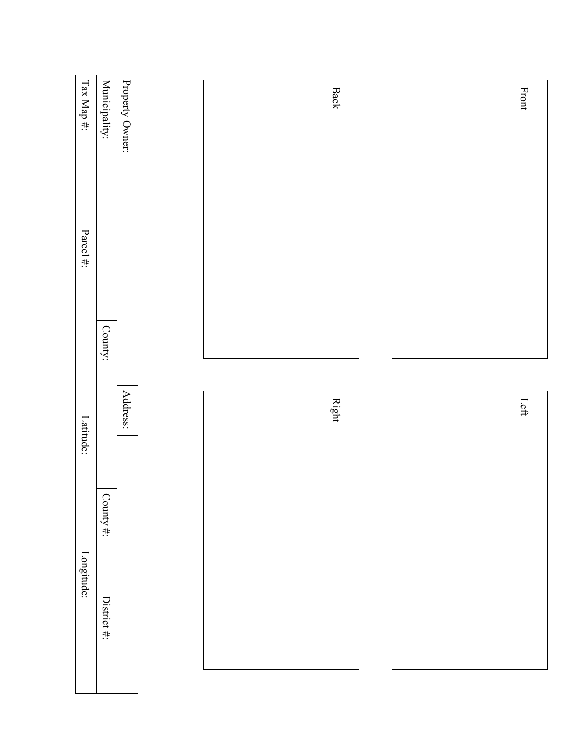| Tax Map $\# \colon$ | Municipality: |                 | Back         |  | $\ensuremath{\text{Front}}$ |
|---------------------|---------------|-----------------|--------------|--|-----------------------------|
|                     |               | Property Owner: |              |  |                             |
|                     |               |                 |              |  |                             |
|                     |               |                 |              |  |                             |
|                     |               |                 |              |  |                             |
|                     |               |                 |              |  |                             |
| Parcel #:           |               |                 |              |  |                             |
|                     |               |                 |              |  |                             |
|                     |               |                 |              |  |                             |
|                     |               |                 |              |  |                             |
|                     | County:       |                 |              |  |                             |
|                     |               |                 |              |  |                             |
|                     |               |                 |              |  |                             |
|                     |               | Address:        | $\rm{Right}$ |  | Left                        |
| Latitude:           |               |                 |              |  |                             |
|                     |               |                 |              |  |                             |
|                     |               |                 |              |  |                             |
|                     | County#:      |                 |              |  |                             |
|                     |               |                 |              |  |                             |
|                     |               |                 |              |  |                             |
| Longitude:          |               |                 |              |  |                             |
|                     |               |                 |              |  |                             |
|                     | District #:   |                 |              |  |                             |
|                     |               |                 |              |  |                             |
|                     |               |                 |              |  |                             |